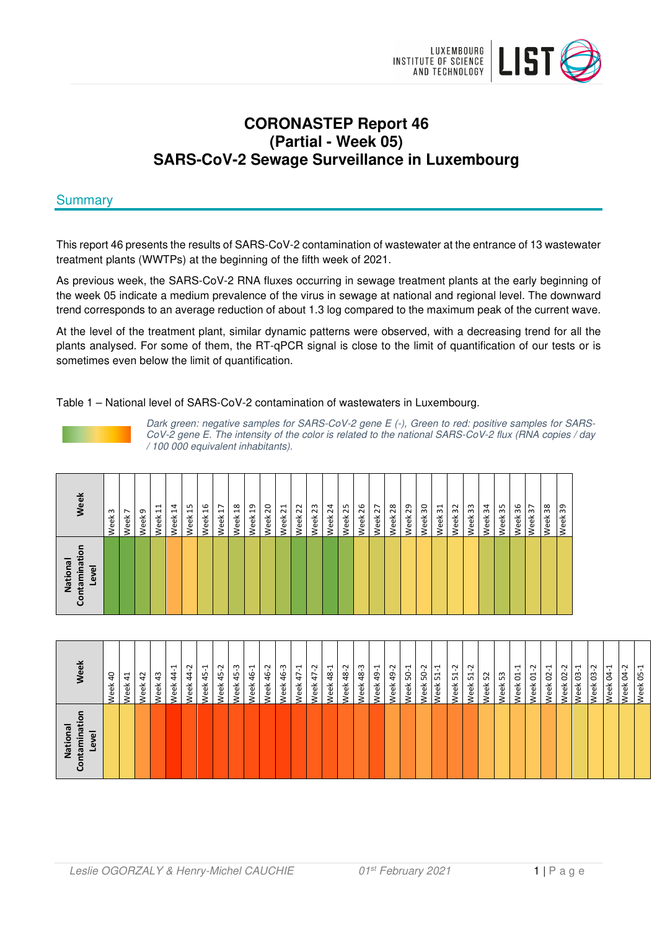

# **CORONASTEP Report 46 (Partial - Week 05) SARS-CoV-2 Sewage Surveillance in Luxembourg**

# **Summary**

This report 46 presents the results of SARS-CoV-2 contamination of wastewater at the entrance of 13 wastewater treatment plants (WWTPs) at the beginning of the fifth week of 2021.

As previous week, the SARS-CoV-2 RNA fluxes occurring in sewage treatment plants at the early beginning of the week 05 indicate a medium prevalence of the virus in sewage at national and regional level. The downward trend corresponds to an average reduction of about 1.3 log compared to the maximum peak of the current wave.

At the level of the treatment plant, similar dynamic patterns were observed, with a decreasing trend for all the plants analysed. For some of them, the RT-qPCR signal is close to the limit of quantification of our tests or is sometimes even below the limit of quantification.

Table 1 – National level of SARS-CoV-2 contamination of wastewaters in Luxembourg.

Dark green: negative samples for SARS-CoV-2 gene E (-), Green to red: positive samples for SARS-CoV-2 gene E. The intensity of the color is related to the national SARS-CoV-2 flux (RNA copies / day / 100 000 equivalent inhabitants).

| Week                                        | Week <sub>3</sub> | $\overline{ }$<br>Week | Week <sub>9</sub> | ដ<br>Week | $\overline{1}$<br>Week | Week 15 | Week 16 | Week 17 | Week 18 | Week <sub>19</sub> | Week <sub>20</sub> | Week 21 | Week <sub>22</sub> | Week <sub>23</sub> | Week <sub>24</sub> | Week 25 | Week <sub>26</sub> | Week 27 | Week <sub>28</sub> | 29<br>Week | Week 30 | Week 31 | Week <sub>32</sub> | Week 33 | Week 34 | Week 35 | Week 36 | Week 37 | Week <sub>38</sub> | es<br>: Week |
|---------------------------------------------|-------------------|------------------------|-------------------|-----------|------------------------|---------|---------|---------|---------|--------------------|--------------------|---------|--------------------|--------------------|--------------------|---------|--------------------|---------|--------------------|------------|---------|---------|--------------------|---------|---------|---------|---------|---------|--------------------|--------------|
| $\circ$<br>Contaminati<br>National<br>Level |                   |                        |                   |           |                        |         |         |         |         |                    |                    |         |                    |                    |                    |         |                    |         |                    |            |         |         |                    |         |         |         |         |         |                    |              |

| -<br>National<br>mina<br>evel<br>ज़ | Veek                                           |
|-------------------------------------|------------------------------------------------|
|                                     | $\overline{a}$<br>Week                         |
|                                     | 41<br>Week                                     |
|                                     | $\overline{a}$<br>Week                         |
|                                     | 43<br>Veek                                     |
|                                     | $\overline{\phantom{0}}$<br>$\ddot{4}$<br>Veek |
|                                     | Ņ<br>$\frac{4}{3}$<br>Veek                     |
|                                     | $45 - 1$<br>Veek                               |
|                                     | Ņ<br>45<br><b>Neek</b>                         |
|                                     | $45 - 3$<br><b>Neek</b>                        |
|                                     | 46-1<br>Veek                                   |
|                                     | 46-2<br>veek                                   |
|                                     | 46-3<br>veek                                   |
|                                     | $47 - 1$<br>Week                               |
|                                     | 47-2<br>Week                                   |
|                                     | 48-1<br>Week                                   |
|                                     | 48-2<br>Week                                   |
|                                     | Week 48-3                                      |
|                                     | 49-1<br>Week                                   |
|                                     | 49-2<br>Week                                   |
|                                     | Week 50-1                                      |
|                                     | $50-2$<br>Week                                 |
|                                     | $\overline{ }$<br>Week 51-                     |
|                                     | Week 51-2                                      |
|                                     | Week 51-2                                      |
|                                     | Week 52                                        |
|                                     | Neek 53                                        |
|                                     | Week 01-1                                      |
|                                     | Week 01-2                                      |
|                                     | Week 02-1                                      |
|                                     | Week 02-2<br>Week 03-1                         |
|                                     |                                                |
|                                     | Week 03-2                                      |
|                                     | Week 04-1                                      |
|                                     | Ņ<br>S,<br>Week                                |
|                                     | <b>Week 05-1</b>                               |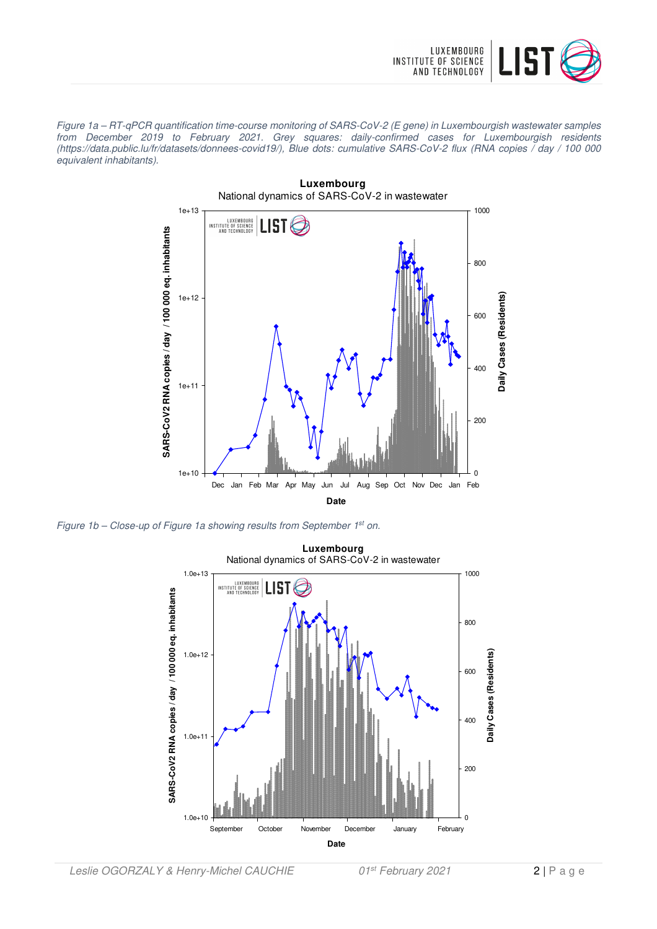

Figure 1a – RT-qPCR quantification time-course monitoring of SARS-CoV-2 (E gene) in Luxembourgish wastewater samples from December 2019 to February 2021. Grey squares: daily-confirmed cases for Luxembourgish residents (https://data.public.lu/fr/datasets/donnees-covid19/), Blue dots: cumulative SARS-CoV-2 flux (RNA copies / day / 100 000 equivalent inhabitants).



Figure 1b – Close-up of Figure 1a showing results from September 1st on.

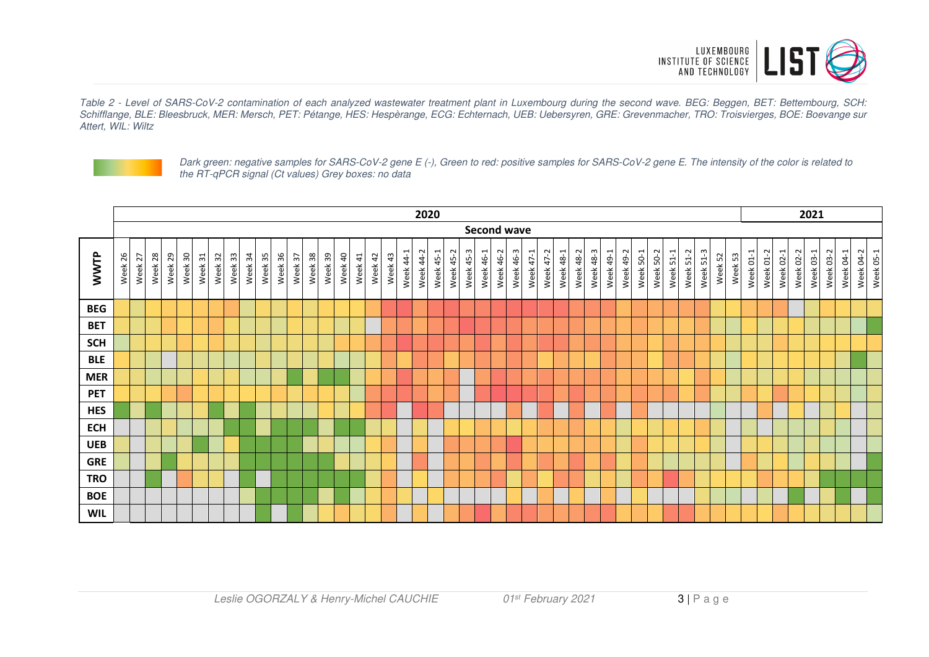

Table 2 - Level of SARS-CoV-2 contamination of each analyzed wastewater treatment plant in Luxembourg during the second wave. BEG: Beggen, BET: Bettembourg, SCH: Schifflange, BLE: Bleesbruck, MER: Mersch, PET: Pétange, HES: Hespèrange, ECG: Echternach, UEB: Uebersyren, GRE: Grevenmacher, TRO: Troisvierges, BOE: Boevange sur Attert, WIL: Wiltz



Dark green: negative samples for SARS-CoV-2 gene E (-), Green to red: positive samples for SARS-CoV-2 gene E. The intensity of the color is related to the RT-qPCR signal (Ct values) Grey boxes: no data

|            | 2020    |         |         |         |         |         |         |         |            |         |         |         |         |         | 2021    |         |         |         |           |           |                                       |           |           |           |           |                    |           |           |           |                  |           |           |           |           |           |           |                 |         |         |         |           |           |           |           |           |           |           |                        |
|------------|---------|---------|---------|---------|---------|---------|---------|---------|------------|---------|---------|---------|---------|---------|---------|---------|---------|---------|-----------|-----------|---------------------------------------|-----------|-----------|-----------|-----------|--------------------|-----------|-----------|-----------|------------------|-----------|-----------|-----------|-----------|-----------|-----------|-----------------|---------|---------|---------|-----------|-----------|-----------|-----------|-----------|-----------|-----------|------------------------|
|            |         |         |         |         |         |         |         |         |            |         |         |         |         |         |         |         |         |         |           |           |                                       |           |           |           |           | <b>Second wave</b> |           |           |           |                  |           |           |           |           |           |           |                 |         |         |         |           |           |           |           |           |           |           |                        |
| WWTP       | Week 26 | Week 27 | Week 28 | Week 29 | Week 30 | Week 31 | Week 32 | Week 33 | 34<br>Week | Week 35 | Week 36 | Week 37 | Week 38 | Week 39 | Week 40 | Week 41 | Week 42 | Week 43 | Week 44-1 | Week 44-2 | $\overline{\phantom{0}}$<br>Week 45-2 | Week 45-2 | Week 45-3 | Week 46-1 | Week 46-2 | Week 46-3          | Week 47-1 | Week 47-2 | Week 48-1 | <b>Week 48-2</b> | Week 48-3 | Week 49-1 | Week 49-2 | Week 50-1 | Week 50-2 | Week 51-1 | Week 51-2<br>ကု | Week 51 | Week 52 | Week 53 | Week 01-1 | Week 01-2 | Week 02-1 | Week 02-2 | Week 03-1 | Week 03-2 | Week 04-1 | Week 04-2<br>Week 05-1 |
| <b>BEG</b> |         |         |         |         |         |         |         |         |            |         |         |         |         |         |         |         |         |         |           |           |                                       |           |           |           |           |                    |           |           |           |                  |           |           |           |           |           |           |                 |         |         |         |           |           |           |           |           |           |           |                        |
| <b>BET</b> |         |         |         |         |         |         |         |         |            |         |         |         |         |         |         |         |         |         |           |           |                                       |           |           |           |           |                    |           |           |           |                  |           |           |           |           |           |           |                 |         |         |         |           |           |           |           |           |           |           |                        |
| <b>SCH</b> |         |         |         |         |         |         |         |         |            |         |         |         |         |         |         |         |         |         |           |           |                                       |           |           |           |           |                    |           |           |           |                  |           |           |           |           |           |           |                 |         |         |         |           |           |           |           |           |           |           |                        |
| <b>BLE</b> |         |         |         |         |         |         |         |         |            |         |         |         |         |         |         |         |         |         |           |           |                                       |           |           |           |           |                    |           |           |           |                  |           |           |           |           |           |           |                 |         |         |         |           |           |           |           |           |           |           |                        |
| <b>MER</b> |         |         |         |         |         |         |         |         |            |         |         |         |         |         |         |         |         |         |           |           |                                       |           |           |           |           |                    |           |           |           |                  |           |           |           |           |           |           |                 |         |         |         |           |           |           |           |           |           |           |                        |
| <b>PET</b> |         |         |         |         |         |         |         |         |            |         |         |         |         |         |         |         |         |         |           |           |                                       |           |           |           |           |                    |           |           |           |                  |           |           |           |           |           |           |                 |         |         |         |           |           |           |           |           |           |           |                        |
| <b>HES</b> |         |         |         |         |         |         |         |         |            |         |         |         |         |         |         |         |         |         |           |           |                                       |           |           |           |           |                    |           |           |           |                  |           |           |           |           |           |           |                 |         |         |         |           |           |           |           |           |           |           |                        |
| <b>ECH</b> |         |         |         |         |         |         |         |         |            |         |         |         |         |         |         |         |         |         |           |           |                                       |           |           |           |           |                    |           |           |           |                  |           |           |           |           |           |           |                 |         |         |         |           |           |           |           |           |           |           |                        |
| <b>UEB</b> |         |         |         |         |         |         |         |         |            |         |         |         |         |         |         |         |         |         |           |           |                                       |           |           |           |           |                    |           |           |           |                  |           |           |           |           |           |           |                 |         |         |         |           |           |           |           |           |           |           |                        |
| <b>GRE</b> |         |         |         |         |         |         |         |         |            |         |         |         |         |         |         |         |         |         |           |           |                                       |           |           |           |           |                    |           |           |           |                  |           |           |           |           |           |           |                 |         |         |         |           |           |           |           |           |           |           |                        |
| <b>TRO</b> |         |         |         |         |         |         |         |         |            |         |         |         |         |         |         |         |         |         |           |           |                                       |           |           |           |           |                    |           |           |           |                  |           |           |           |           |           |           |                 |         |         |         |           |           |           |           |           |           |           |                        |
| <b>BOE</b> |         |         |         |         |         |         |         |         |            |         |         |         |         |         |         |         |         |         |           |           |                                       |           |           |           |           |                    |           |           |           |                  |           |           |           |           |           |           |                 |         |         |         |           |           |           |           |           |           |           |                        |
| <b>WIL</b> |         |         |         |         |         |         |         |         |            |         |         |         |         |         |         |         |         |         |           |           |                                       |           |           |           |           |                    |           |           |           |                  |           |           |           |           |           |           |                 |         |         |         |           |           |           |           |           |           |           |                        |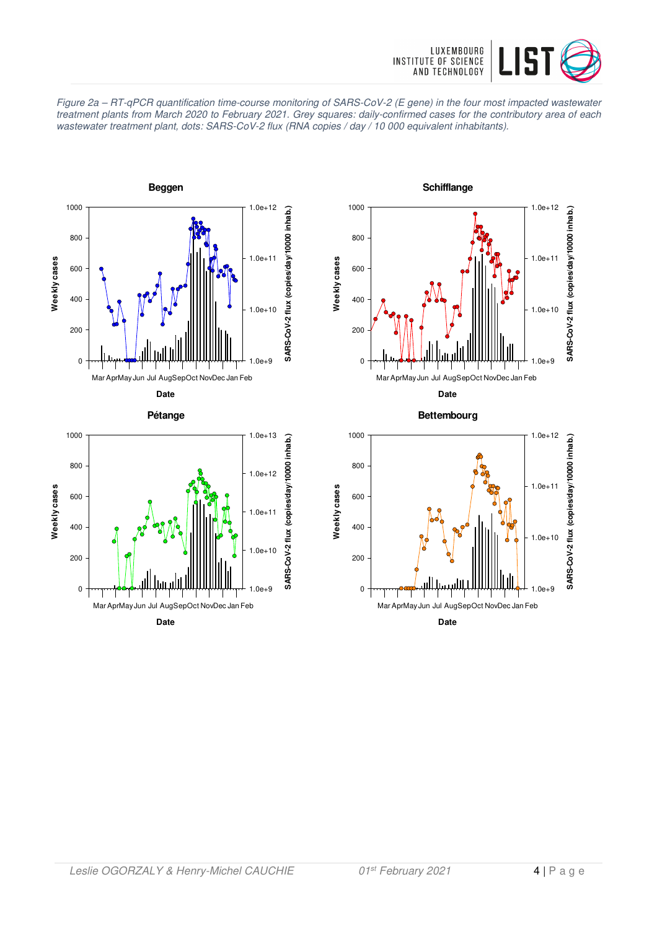







**Schifflange**

**Date**

**Bettembourg**

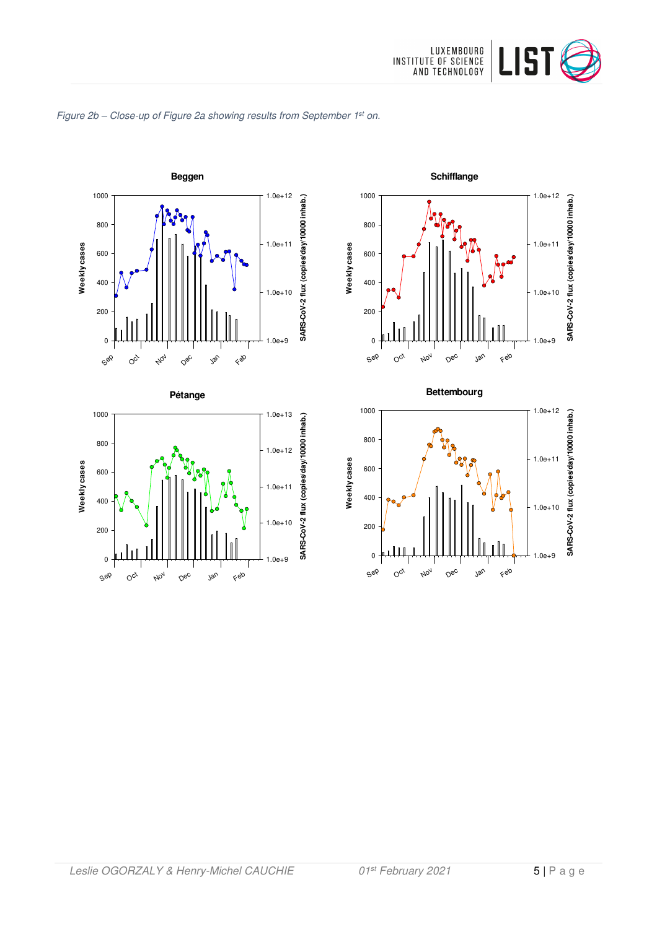







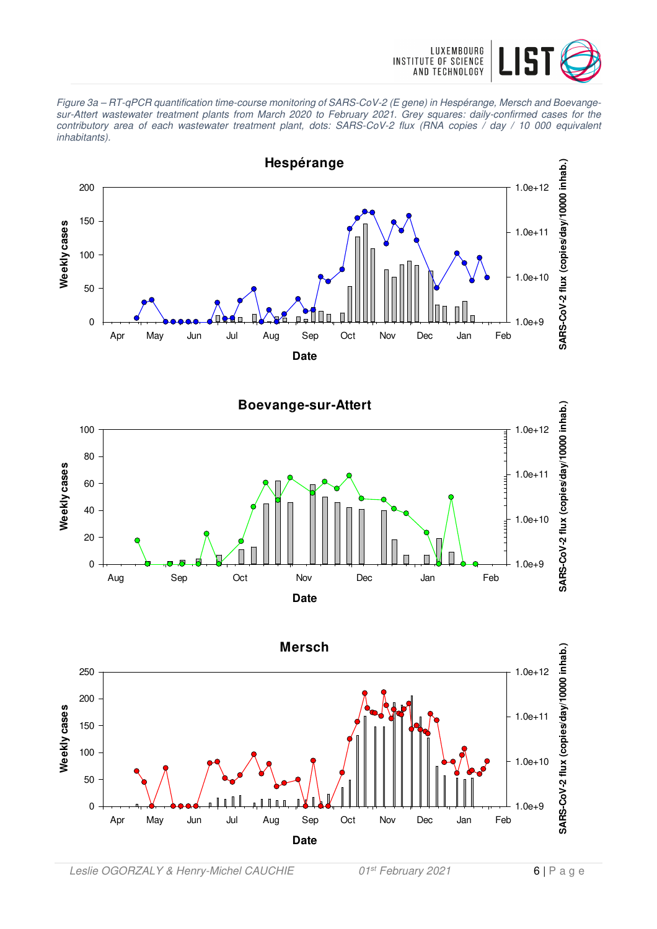

Figure 3a – RT-qPCR quantification time-course monitoring of SARS-CoV-2 (E gene) in Hespérange, Mersch and Boevangesur-Attert wastewater treatment plants from March 2020 to February 2021. Grey squares: daily-confirmed cases for the contributory area of each wastewater treatment plant, dots: SARS-CoV-2 flux (RNA copies / day / 10 000 equivalent inhabitants).



**Boevange-sur-Attert** SARS-CoV-2 flux (copies/day/10000 inhab.) **SARS-CoV-2 flux (copies/day/10000 inhab.)** 100 1.0e+1280 Weekly cases **Weekly cases** 1.0e+11 60 40 1.0e+10 20  $\Omega$ 1.0e+9 Aug Sep Oct Nov Dec Jan Feb **Date**

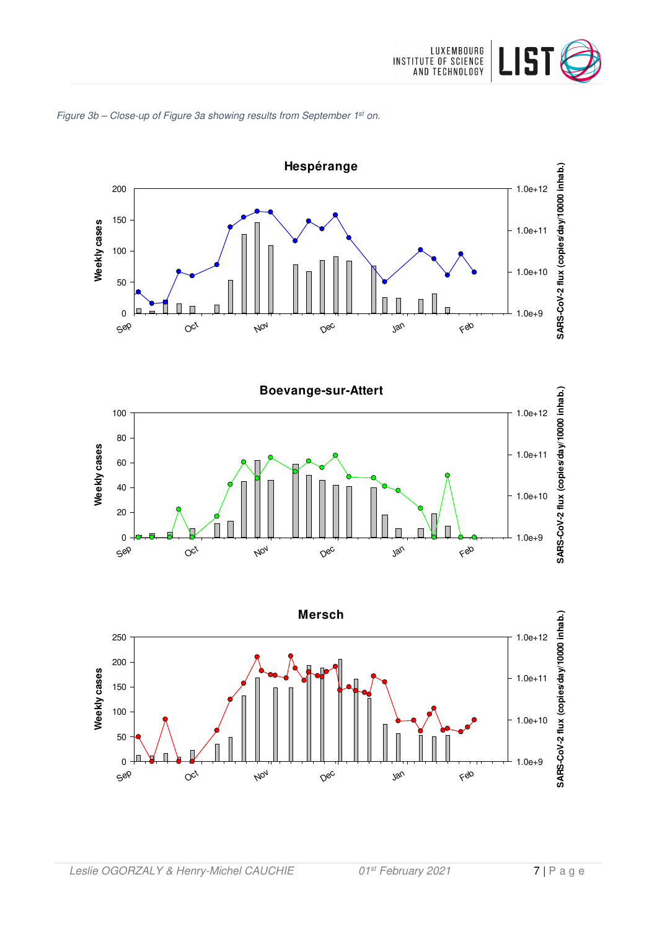

# Figure 3b – Close-up of Figure 3a showing results from September 1<sup>st</sup> on.





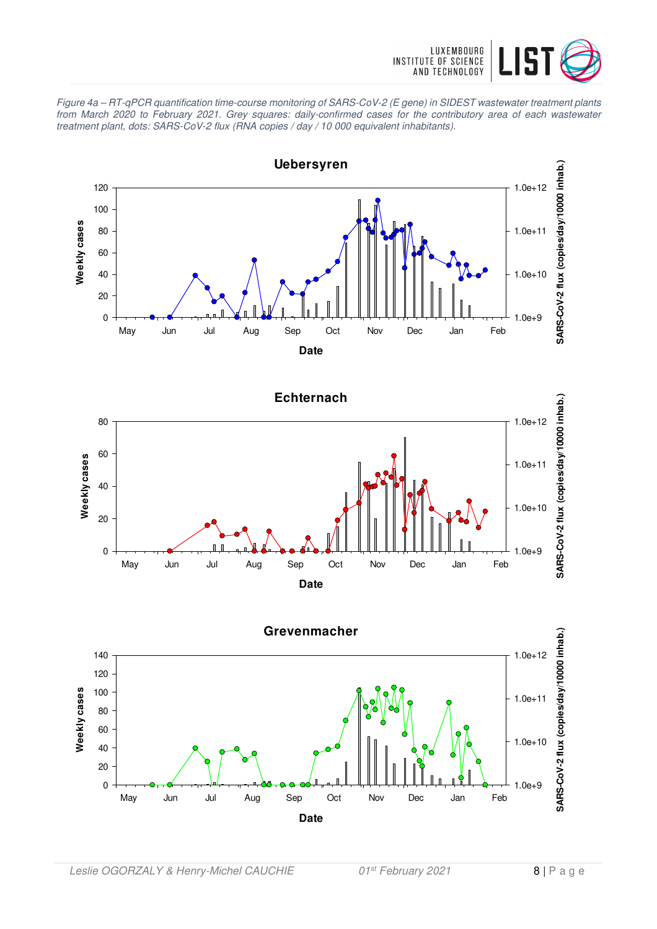

Figure 4a – RT-qPCR quantification time-course monitoring of SARS-CoV-2 (E gene) in SIDEST wastewater treatment plants from March 2020 to February 2021. Grey squares: daily-confirmed cases for the contributory area of each wastewater treatment plant, dots: SARS-CoV-2 flux (RNA copies / day / 10 000 equivalent inhabitants).





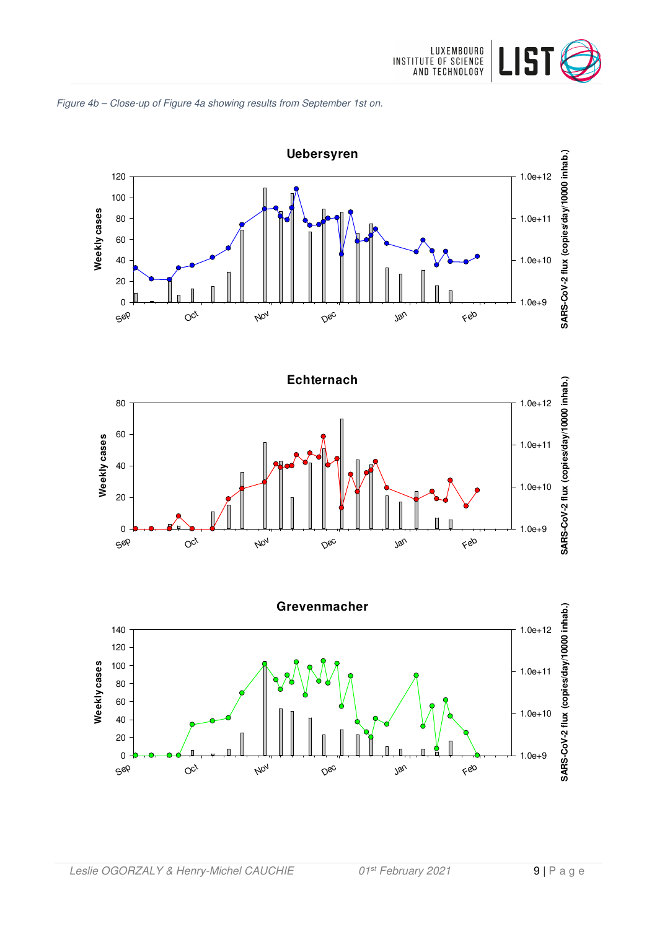







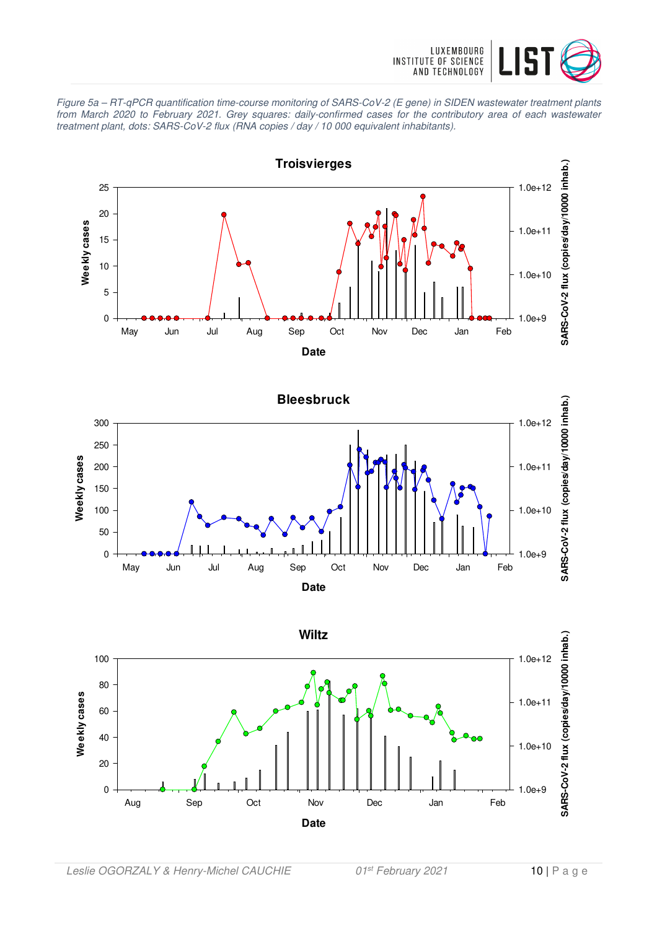

Figure 5a – RT-qPCR quantification time-course monitoring of SARS-CoV-2 (E gene) in SIDEN wastewater treatment plants from March 2020 to February 2021. Grey squares: daily-confirmed cases for the contributory area of each wastewater treatment plant, dots: SARS-CoV-2 flux (RNA copies / day / 10 000 equivalent inhabitants).





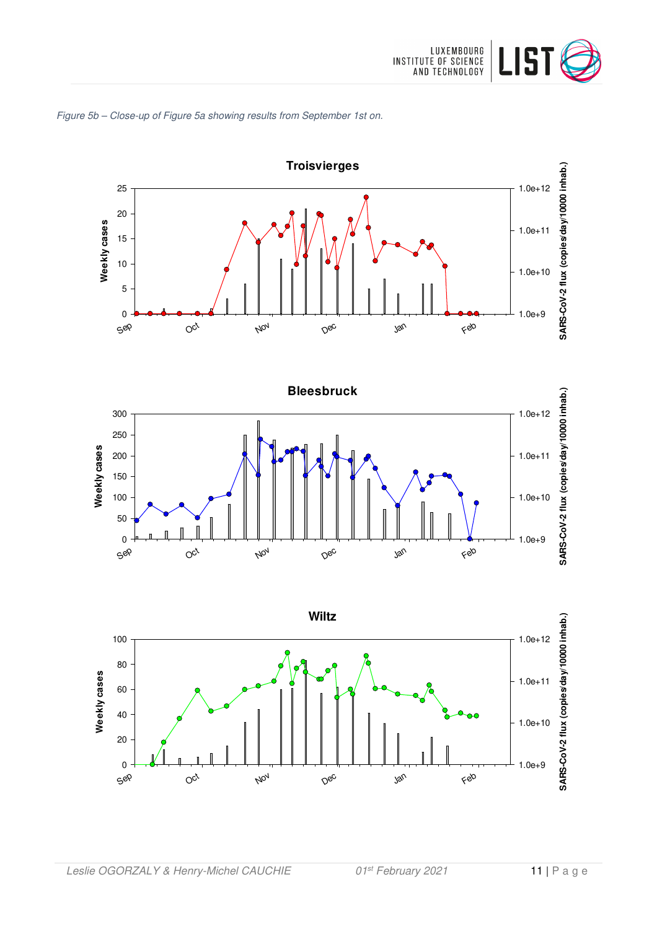







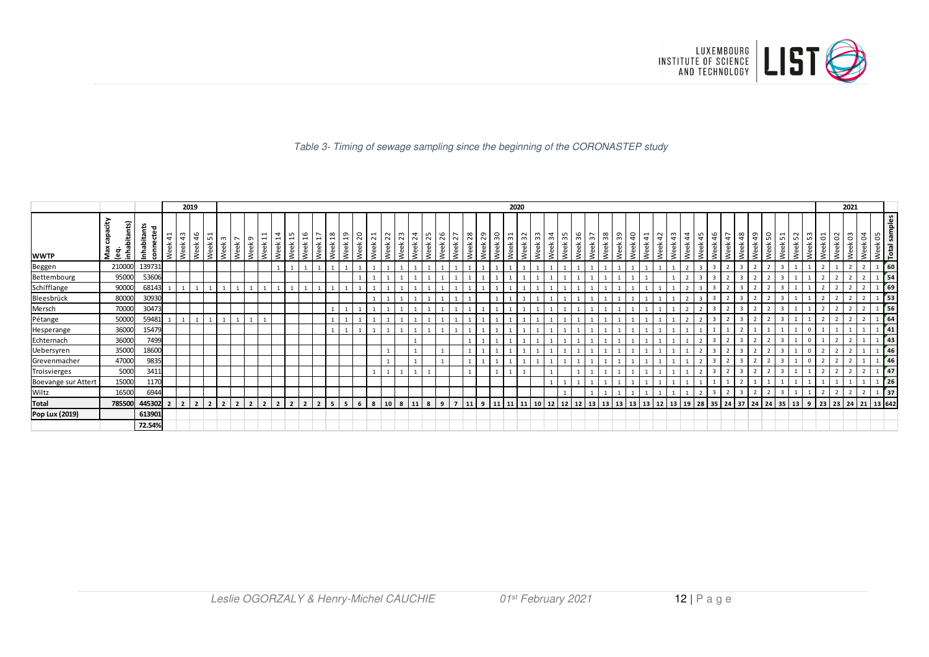

Table 3- Timing of sewage sampling since the beginning of the CORONASTEP study

|                     |                                        |                               |            | 2019                  |                            |                | 2020           |               |                                 |  |                                                 |                          |             |           |                                  |                     |                                |                      |                               |                         |              |                   | 2021       |               |                   |            |                                     |            |           |                    |            |            |                 |            |            |              |            |                                          |                |            |      |                 |                              |        |            |                   |             |                                     |               |                |           |                          |                  |
|---------------------|----------------------------------------|-------------------------------|------------|-----------------------|----------------------------|----------------|----------------|---------------|---------------------------------|--|-------------------------------------------------|--------------------------|-------------|-----------|----------------------------------|---------------------|--------------------------------|----------------------|-------------------------------|-------------------------|--------------|-------------------|------------|---------------|-------------------|------------|-------------------------------------|------------|-----------|--------------------|------------|------------|-----------------|------------|------------|--------------|------------|------------------------------------------|----------------|------------|------|-----------------|------------------------------|--------|------------|-------------------|-------------|-------------------------------------|---------------|----------------|-----------|--------------------------|------------------|
| <b>WWTP</b>         | ćİŊ<br>inhabitants)<br>ga<br>Max<br>eg | ₽<br>ъ.<br>ē<br>Inhabita<br>۹ | 41<br>Week | $\frac{4}{3}$<br>Week | 46<br>$\check{\mathrm{e}}$ | ⊣<br>5<br>Week | $\sim$<br>Neek | $\sim$ 0<br>ě | 日<br><b>Neek</b><br><b>Neek</b> |  | $\overline{4}$<br>$\overline{a}$<br>$\check{e}$ | 15<br>Neek<br>Week       | <b>/eek</b> | 9   2   3 | 61<br><b>Neek</b><br><b>Neek</b> | $\overline{5}$<br>ě | $\overline{21}$<br><b>Neek</b> | $\sqrt{2}$<br>る<br>٩ | $\mathbb{S}^2$<br><b>Neek</b> | $\overline{24}$<br>Week | 55<br>盖<br>ŝ | 26<br><b>Neek</b> | 27<br>Week | $\frac{8}{2}$ | 29<br><b>Veek</b> | Οč<br>Week | $\overline{ }$<br>$\mathsf{m}$<br>る | 32<br>Week | အ<br>Week | $\frac{1}{4}$<br>る | 55<br>Week | 36<br>Week | $\sim$<br>훇     | 38<br>Week | 39<br>Week | $\mathsf{S}$ | 41<br>Week | $\overline{a}$<br>$\overline{ }$<br>Week | $\frac{4}{4}$  | 45<br>Week | Week | 47<br>ச<br>Week | $\frac{8}{3}$<br><b>Neek</b> | െ<br>ᢦ | 50<br>Week | 51<br><b>Neek</b> | 53<br>Week  | ដ<br>Week                           | $\frac{8}{3}$ | Week           | g<br>Week | $\circ$<br>$\frac{1}{2}$ | samples<br>Total |
| Beggen              | 210000                                 | 139731                        |            |                       |                            |                |                |               |                                 |  |                                                 |                          |             |           |                                  |                     |                                |                      |                               |                         |              |                   |            |               |                   |            |                                     |            |           |                    |            |            |                 |            |            |              |            |                                          | $\overline{2}$ |            |      |                 |                              |        |            |                   |             |                                     |               |                |           | $\frac{1}{60}$           |                  |
| Bettembourg         | 95000                                  | 53606                         |            |                       |                            |                |                |               |                                 |  |                                                 |                          |             |           |                                  |                     |                                |                      |                               |                         |              |                   |            |               |                   |            |                                     |            |           |                    |            |            |                 |            |            |              |            |                                          |                |            |      |                 |                              |        |            |                   |             |                                     |               |                |           | 54                       |                  |
| Schifflange         | 90000                                  | 68143                         |            |                       |                            |                |                |               |                                 |  |                                                 |                          |             |           |                                  |                     |                                |                      |                               |                         |              |                   |            |               |                   |            |                                     |            |           |                    |            |            |                 |            |            |              |            |                                          |                |            |      |                 |                              |        |            |                   |             |                                     |               |                |           | 69                       |                  |
| Bleesbrück          | 80000                                  | 30930                         |            |                       |                            |                |                |               |                                 |  |                                                 |                          |             |           |                                  |                     |                                |                      |                               |                         |              |                   |            |               |                   |            |                                     |            |           |                    |            |            |                 |            |            |              |            |                                          | $\mathbf{r}$   |            |      |                 |                              |        |            |                   |             |                                     |               |                |           | $\frac{1}{53}$           |                  |
| Mersch              | 70000                                  | 30473                         |            |                       |                            |                |                |               |                                 |  |                                                 |                          |             |           |                                  |                     |                                |                      |                               |                         |              |                   |            |               |                   |            |                                     |            |           |                    |            |            |                 |            |            |              |            |                                          |                |            |      |                 |                              |        |            |                   |             |                                     |               |                |           | $\sqrt{56}$              |                  |
| Pétange             | 50000                                  | 59481                         | 1          |                       |                            |                |                |               |                                 |  |                                                 |                          |             |           |                                  |                     |                                |                      |                               |                         |              |                   |            |               |                   |            |                                     |            |           |                    |            |            |                 |            |            |              |            |                                          | $\mathbf{r}$   |            |      |                 |                              |        |            |                   |             |                                     |               | $\overline{2}$ |           | 64                       |                  |
| Hesperange          | 36000                                  | 15479                         |            |                       |                            |                |                |               |                                 |  |                                                 |                          |             |           |                                  |                     |                                |                      |                               |                         |              |                   |            |               |                   |            |                                     |            |           |                    |            |            |                 |            |            |              |            |                                          |                |            |      |                 |                              |        |            |                   | $\Omega$    |                                     |               |                |           | 41                       |                  |
| Echternach          | 36000                                  | 7499                          |            |                       |                            |                |                |               |                                 |  |                                                 |                          |             |           |                                  |                     |                                |                      |                               |                         |              |                   |            |               |                   |            |                                     |            |           |                    |            |            |                 |            |            |              |            |                                          |                |            |      |                 |                              |        |            |                   |             |                                     |               |                |           | 43                       |                  |
| Uebersyren          | 35000                                  | 18600                         |            |                       |                            |                |                |               |                                 |  |                                                 |                          |             |           |                                  |                     |                                |                      |                               |                         |              |                   |            |               |                   |            |                                     |            |           |                    |            |            |                 |            |            |              |            |                                          |                |            |      |                 |                              |        |            |                   |             |                                     |               |                |           | 46                       |                  |
| Grevenmacher        | 47000                                  | 9835                          |            |                       |                            |                |                |               |                                 |  |                                                 |                          |             |           |                                  |                     |                                |                      |                               |                         |              |                   |            |               |                   |            |                                     |            |           |                    |            |            |                 |            |            |              |            |                                          |                |            |      |                 |                              |        |            |                   | $\mathbf 0$ |                                     |               |                |           | 46                       |                  |
| Troisvierges        | 5000                                   | 3411                          |            |                       |                            |                |                |               |                                 |  |                                                 |                          |             |           |                                  |                     |                                |                      |                               |                         |              |                   |            |               |                   |            |                                     |            |           |                    |            |            |                 |            |            |              |            |                                          |                |            |      |                 |                              |        |            |                   |             |                                     |               |                |           | 47                       |                  |
| Boevange sur Attert | 15000                                  | 1170                          |            |                       |                            |                |                |               |                                 |  |                                                 |                          |             |           |                                  |                     |                                |                      |                               |                         |              |                   |            |               |                   |            |                                     |            |           |                    |            |            |                 |            |            |              |            |                                          |                |            |      |                 |                              |        |            |                   |             |                                     |               |                |           | $\frac{1}{26}$           |                  |
| Wiltz               | 16500                                  | 6944                          |            |                       |                            |                |                |               |                                 |  |                                                 |                          |             |           |                                  |                     |                                |                      |                               |                         |              |                   |            |               |                   |            |                                     |            |           |                    |            |            |                 |            |            |              |            |                                          |                |            |      |                 |                              |        |            |                   |             |                                     |               |                |           | $\frac{1}{37}$           |                  |
| <b>Total</b>        | 785500                                 | 445302 2                      |            |                       |                            | $\overline{2}$ |                |               |                                 |  |                                                 | $\overline{\phantom{a}}$ |             |           | 5                                |                     | 8                              |                      | 8                             | 11                      |              | $\mathbf{q}$      |            |               | q                 | 11         | 11                                  | 11         | 10        | $12$ 12            |            | 12         | 13 <sup>1</sup> | 13         | 13         | 13 13        |            | 12                                       | $13 \mid 19$   | 28         |      | 35 24           | 37                           | 24     | 24         | 35                |             | $13 \mid 9 \mid 23 \mid 23 \mid 24$ |               |                |           | 21 13 642                |                  |
| Pop Lux (2019)      |                                        | 613901                        |            |                       |                            |                |                |               |                                 |  |                                                 |                          |             |           |                                  |                     |                                |                      |                               |                         |              |                   |            |               |                   |            |                                     |            |           |                    |            |            |                 |            |            |              |            |                                          |                |            |      |                 |                              |        |            |                   |             |                                     |               |                |           |                          |                  |
|                     |                                        | 72.54%                        |            |                       |                            |                |                |               |                                 |  |                                                 |                          |             |           |                                  |                     |                                |                      |                               |                         |              |                   |            |               |                   |            |                                     |            |           |                    |            |            |                 |            |            |              |            |                                          |                |            |      |                 |                              |        |            |                   |             |                                     |               |                |           |                          |                  |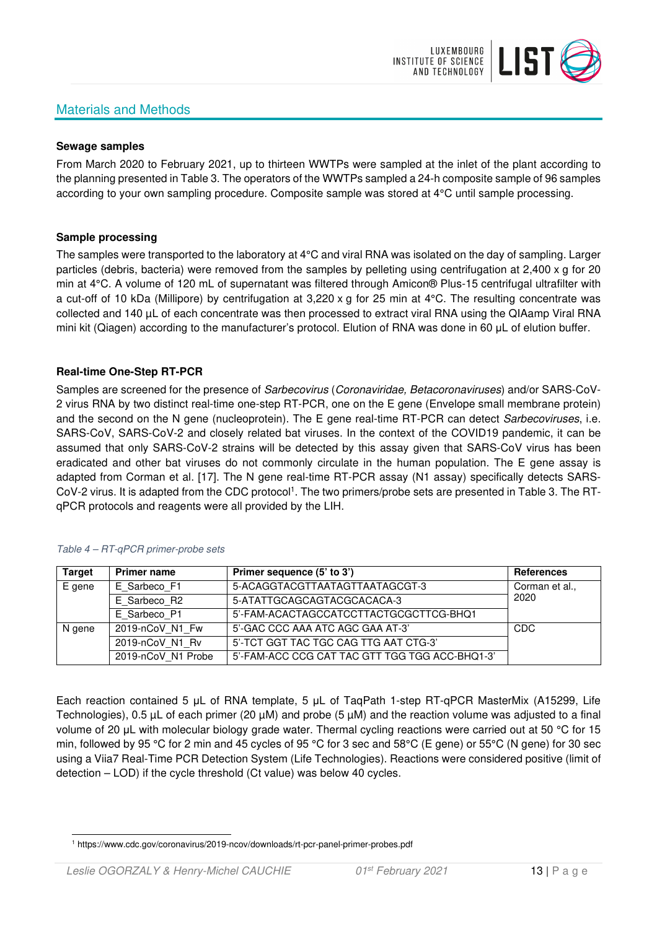# Materials and Methods



#### **Sewage samples**

From March 2020 to February 2021, up to thirteen WWTPs were sampled at the inlet of the plant according to the planning presented in Table 3. The operators of the WWTPs sampled a 24-h composite sample of 96 samples according to your own sampling procedure. Composite sample was stored at 4°C until sample processing.

#### **Sample processing**

The samples were transported to the laboratory at 4°C and viral RNA was isolated on the day of sampling. Larger particles (debris, bacteria) were removed from the samples by pelleting using centrifugation at 2,400 x g for 20 min at 4°C. A volume of 120 mL of supernatant was filtered through Amicon® Plus-15 centrifugal ultrafilter with a cut-off of 10 kDa (Millipore) by centrifugation at 3,220 x g for 25 min at 4°C. The resulting concentrate was collected and 140 µL of each concentrate was then processed to extract viral RNA using the QIAamp Viral RNA mini kit (Qiagen) according to the manufacturer's protocol. Elution of RNA was done in 60 μL of elution buffer.

#### **Real-time One-Step RT-PCR**

Samples are screened for the presence of *Sarbecovirus (Coronaviridae, Betacoronaviruses*) and/or SARS-CoV-2 virus RNA by two distinct real-time one-step RT-PCR, one on the E gene (Envelope small membrane protein) and the second on the N gene (nucleoprotein). The E gene real-time RT-PCR can detect Sarbecoviruses, i.e. SARS-CoV, SARS-CoV-2 and closely related bat viruses. In the context of the COVID19 pandemic, it can be assumed that only SARS-CoV-2 strains will be detected by this assay given that SARS-CoV virus has been eradicated and other bat viruses do not commonly circulate in the human population. The E gene assay is adapted from Corman et al. [17]. The N gene real-time RT-PCR assay (N1 assay) specifically detects SARS-CoV-2 virus. It is adapted from the CDC protocol<sup>1</sup>. The two primers/probe sets are presented in Table 3. The RTqPCR protocols and reagents were all provided by the LIH.

| <b>Target</b> | <b>Primer name</b> | Primer sequence (5' to 3')                     | <b>References</b> |
|---------------|--------------------|------------------------------------------------|-------------------|
| E gene        | E Sarbeco F1       | 5-ACAGGTACGTTAATAGTTAATAGCGT-3                 | Corman et al.,    |
|               | E Sarbeco R2       | 5-ATATTGCAGCAGTACGCACACA-3                     | 2020              |
|               | E Sarbeco P1       | 5'-FAM-ACACTAGCCATCCTTACTGCGCTTCG-BHQ1         |                   |
| N gene        | 2019-nCoV N1 Fw    | 5'-GAC CCC AAA ATC AGC GAA AT-3'               | CDC               |
|               | 2019-nCoV N1 Rv    | 5'-TCT GGT TAC TGC CAG TTG AAT CTG-3'          |                   |
|               | 2019-nCoV N1 Probe | 5'-FAM-ACC CCG CAT TAC GTT TGG TGG ACC-BHQ1-3' |                   |

#### Table 4 – RT-qPCR primer-probe sets

Each reaction contained 5 μL of RNA template, 5 μL of TaqPath 1-step RT-qPCR MasterMix (A15299, Life Technologies), 0.5 µL of each primer (20 µM) and probe (5 µM) and the reaction volume was adjusted to a final volume of 20 μL with molecular biology grade water. Thermal cycling reactions were carried out at 50 °C for 15 min, followed by 95 °C for 2 min and 45 cycles of 95 °C for 3 sec and 58°C (E gene) or 55°C (N gene) for 30 sec using a Viia7 Real-Time PCR Detection System (Life Technologies). Reactions were considered positive (limit of detection – LOD) if the cycle threshold (Ct value) was below 40 cycles.

<sup>1</sup> https://www.cdc.gov/coronavirus/2019-ncov/downloads/rt-pcr-panel-primer-probes.pdf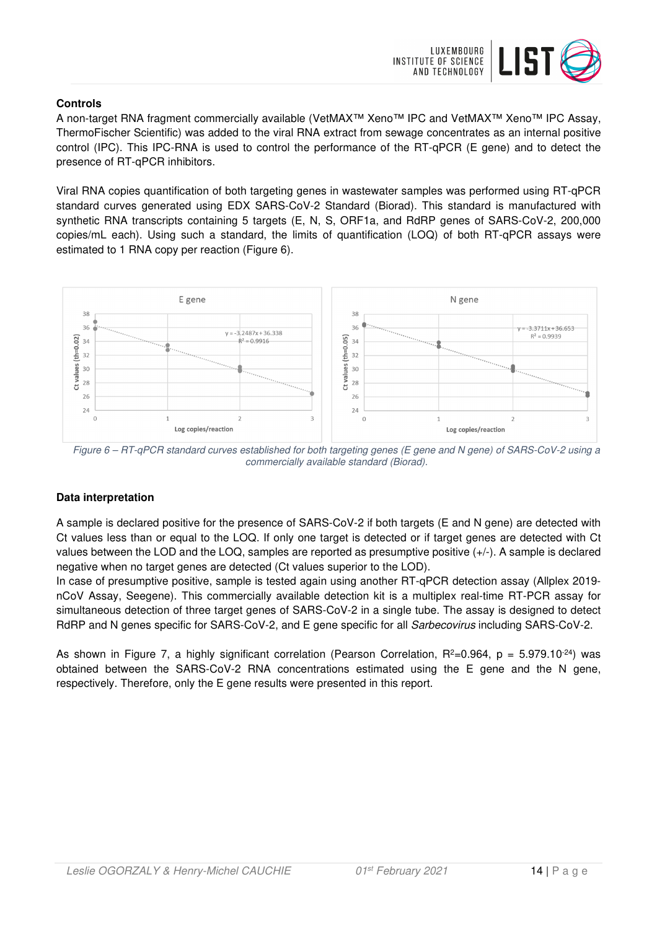

### **Controls**

A non-target RNA fragment commercially available (VetMAX™ Xeno™ IPC and VetMAX™ Xeno™ IPC Assay, ThermoFischer Scientific) was added to the viral RNA extract from sewage concentrates as an internal positive control (IPC). This IPC-RNA is used to control the performance of the RT-qPCR (E gene) and to detect the presence of RT-qPCR inhibitors.

Viral RNA copies quantification of both targeting genes in wastewater samples was performed using RT-qPCR standard curves generated using EDX SARS-CoV-2 Standard (Biorad). This standard is manufactured with synthetic RNA transcripts containing 5 targets (E, N, S, ORF1a, and RdRP genes of SARS-CoV-2, 200,000 copies/mL each). Using such a standard, the limits of quantification (LOQ) of both RT-qPCR assays were estimated to 1 RNA copy per reaction (Figure 6).



Figure 6 – RT-qPCR standard curves established for both targeting genes (E gene and N gene) of SARS-CoV-2 using a commercially available standard (Biorad).

# **Data interpretation**

A sample is declared positive for the presence of SARS-CoV-2 if both targets (E and N gene) are detected with Ct values less than or equal to the LOQ. If only one target is detected or if target genes are detected with Ct values between the LOD and the LOQ, samples are reported as presumptive positive (+/-). A sample is declared negative when no target genes are detected (Ct values superior to the LOD).

In case of presumptive positive, sample is tested again using another RT-qPCR detection assay (Allplex 2019 nCoV Assay, Seegene). This commercially available detection kit is a multiplex real-time RT-PCR assay for simultaneous detection of three target genes of SARS-CoV-2 in a single tube. The assay is designed to detect RdRP and N genes specific for SARS-CoV-2, and E gene specific for all Sarbecovirus including SARS-CoV-2.

As shown in Figure 7, a highly significant correlation (Pearson Correlation,  $R^2=0.964$ ,  $p = 5.979.10^{-24}$ ) was obtained between the SARS-CoV-2 RNA concentrations estimated using the E gene and the N gene, respectively. Therefore, only the E gene results were presented in this report.